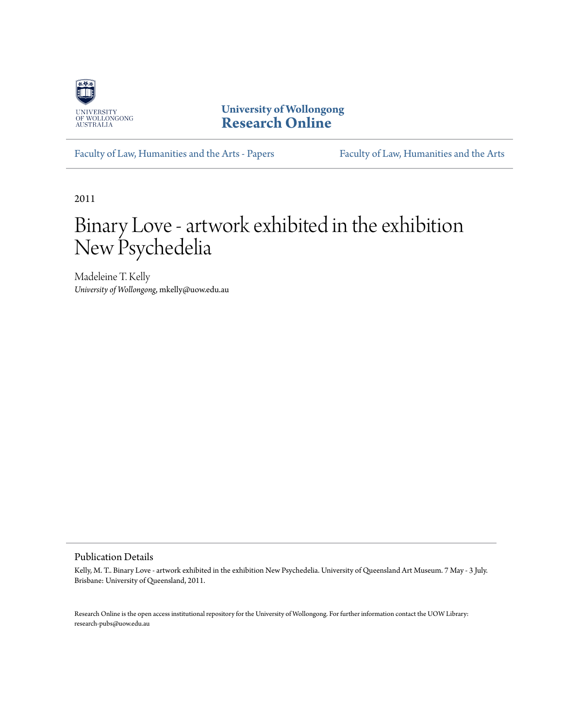

**University of Wollongong [Research Online](http://ro.uow.edu.au)**

[Faculty of Law, Humanities and the Arts - Papers](http://ro.uow.edu.au/lhapapers) [Faculty of Law, Humanities and the Arts](http://ro.uow.edu.au/lha)

2011

## Binary Love - artwork exhibited in the exhibition New Psychedelia

Madeleine T. Kelly *University of Wollongong*, mkelly@uow.edu.au

Publication Details

Kelly, M. T.. Binary Love - artwork exhibited in the exhibition New Psychedelia. University of Queensland Art Museum. 7 May - 3 July. Brisbane: University of Queensland, 2011.

Research Online is the open access institutional repository for the University of Wollongong. For further information contact the UOW Library: research-pubs@uow.edu.au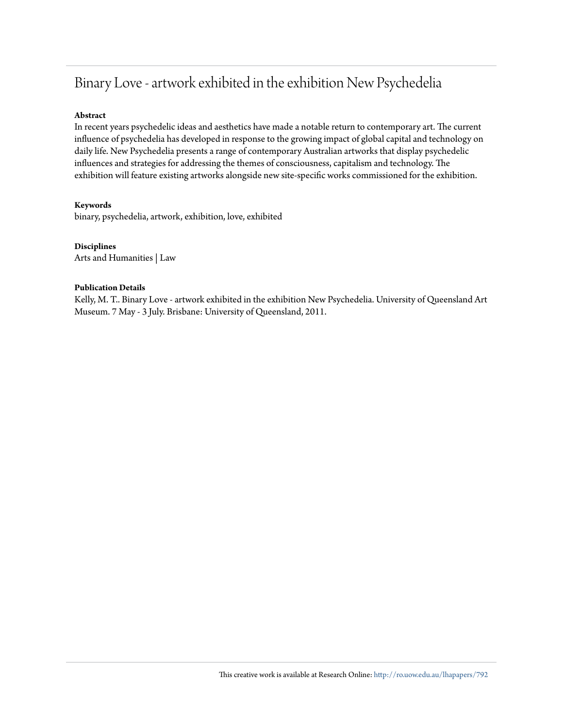### Binary Love - artwork exhibited in the exhibition New Psychedelia

### **Abstract**

In recent years psychedelic ideas and aesthetics have made a notable return to contemporary art. The current influence of psychedelia has developed in response to the growing impact of global capital and technology on daily life. New Psychedelia presents a range of contemporary Australian artworks that display psychedelic influences and strategies for addressing the themes of consciousness, capitalism and technology. The exhibition will feature existing artworks alongside new site-specific works commissioned for the exhibition.

### **Keywords**

binary, psychedelia, artwork, exhibition, love, exhibited

### **Disciplines**

Arts and Humanities | Law

### **Publication Details**

Kelly, M. T.. Binary Love - artwork exhibited in the exhibition New Psychedelia. University of Queensland Art Museum. 7 May - 3 July. Brisbane: University of Queensland, 2011.